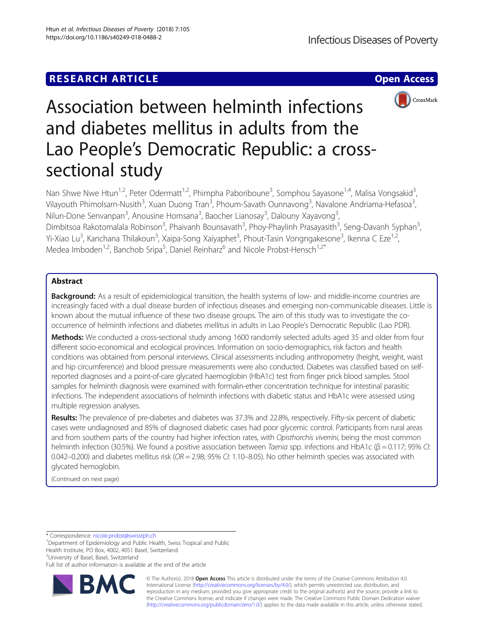## **RESEARCH ARTICLE Example 2014 12:30 The Contract of Contract ACCESS**



# Association between helminth infections and diabetes mellitus in adults from the Lao People's Democratic Republic: a crosssectional study

Nan Shwe Nwe Htun<sup>1,2</sup>, Peter Odermatt<sup>1,2</sup>, Phimpha Paboriboune<sup>3</sup>, Somphou Sayasone<sup>1,4</sup>, Malisa Vongsakid<sup>3</sup> , Vilayouth Phimolsarn-Nusith<sup>3</sup>, Xuan Duong Tran<sup>3</sup>, Phoum-Savath Ounnavong<sup>3</sup>, Navalone Andriama-Hefasoa<sup>3</sup> , Nilun-Done Senvanpan<sup>3</sup>, Anousine Homsana<sup>3</sup>, Baocher Lianosay<sup>3</sup>, Dalouny Xayavong<sup>3</sup> , Dimbitsoa Rakotomalala Robinson<sup>3</sup>, Phaivanh Bounsavath<sup>3</sup>, Phoy-Phaylinh Prasayasith<sup>3</sup>, Seng-Davanh Syphan<sup>3</sup> , Yi-Xiao Lu<sup>3</sup>, Kanchana Thilakoun<sup>3</sup>, Xaipa-Song Xaiyaphet<sup>3</sup>, Phout-Tasin Vongngakesone<sup>3</sup>, Ikenna C Eze<sup>1,2</sup>, Medea Imboden<sup>1,2</sup>, Banchob Sripa<sup>5</sup>, Daniel Reinharz<sup>6</sup> and Nicole Probst-Hensch<sup>1,2\*</sup>

## Abstract

Background: As a result of epidemiological transition, the health systems of low- and middle-income countries are increasingly faced with a dual disease burden of infectious diseases and emerging non-communicable diseases. Little is known about the mutual influence of these two disease groups. The aim of this study was to investigate the cooccurrence of helminth infections and diabetes mellitus in adults in Lao People's Democratic Republic (Lao PDR).

Methods: We conducted a cross-sectional study among 1600 randomly selected adults aged 35 and older from four different socio-economical and ecological provinces. Information on socio-demographics, risk factors and health conditions was obtained from personal interviews. Clinical assessments including anthropometry (height, weight, waist and hip circumference) and blood pressure measurements were also conducted. Diabetes was classified based on selfreported diagnoses and a point-of-care glycated haemoglobin (HbA1c) test from finger prick blood samples. Stool samples for helminth diagnosis were examined with formalin-ether concentration technique for intestinal parasitic infections. The independent associations of helminth infections with diabetic status and HbA1c were assessed using multiple regression analyses.

Results: The prevalence of pre-diabetes and diabetes was 37.3% and 22.8%, respectively. Fifty-six percent of diabetic cases were undiagnosed and 85% of diagnosed diabetic cases had poor glycemic control. Participants from rural areas and from southern parts of the country had higher infection rates, with Opisthorchis viverrini, being the most common helminth infection (30.5%). We found a positive association between Taenia spp. infections and HbA1c (β = 0.117; 95% CI: 0.042–0.200) and diabetes mellitus risk (OR = 2.98; 95% CI: 1.10–8.05). No other helminth species was associated with glycated hemoglobin.

(Continued on next page)

\* Correspondence: [nicole.probst@swisstph.ch](mailto:nicole.probst@swisstph.ch) <sup>1</sup>

<sup>1</sup>Department of Epidemiology and Public Health, Swiss Tropical and Public Health Institute, PO Box, 4002, 4051 Basel, Switzerland

<sup>2</sup>University of Basel, Basel, Switzerland

Full list of author information is available at the end of the article



© The Author(s). 2018 Open Access This article is distributed under the terms of the Creative Commons Attribution 4.0 International License [\(http://creativecommons.org/licenses/by/4.0/](http://creativecommons.org/licenses/by/4.0/)), which permits unrestricted use, distribution, and reproduction in any medium, provided you give appropriate credit to the original author(s) and the source, provide a link to the Creative Commons license, and indicate if changes were made. The Creative Commons Public Domain Dedication waiver [\(http://creativecommons.org/publicdomain/zero/1.0/](http://creativecommons.org/publicdomain/zero/1.0/)) applies to the data made available in this article, unless otherwise stated.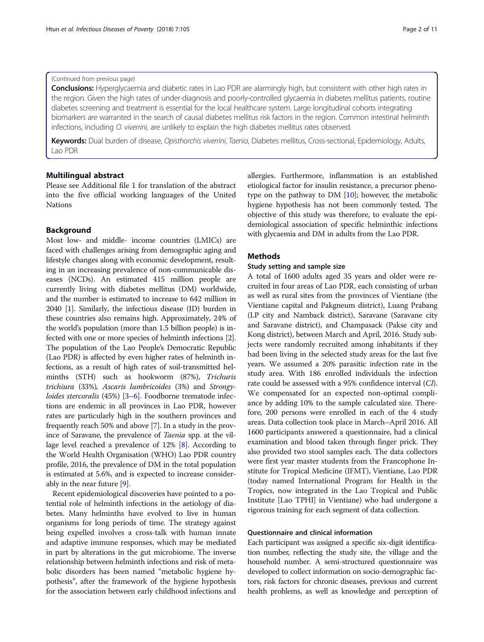## (Continued from previous page)

Conclusions: Hyperglycaemia and diabetic rates in Lao PDR are alarmingly high, but consistent with other high rates in the region. Given the high rates of under-diagnosis and poorly-controlled glycaemia in diabetes mellitus patients, routine diabetes screening and treatment is essential for the local healthcare system. Large longitudinal cohorts integrating biomarkers are warranted in the search of causal diabetes mellitus risk factors in the region. Common intestinal helminth infections, including O. viverrini, are unlikely to explain the high diabetes mellitus rates observed.

Keywords: Dual burden of disease, Opisthorchis viverrini, Taenia, Diabetes mellitus, Cross-sectional, Epidemiology, Adults, Lao PDR

## Multilingual abstract

Please see Additional file [1](#page-9-0) for translation of the abstract into the five official working languages of the United Nations

## **Background**

Most low- and middle- income countries (LMICs) are faced with challenges arising from demographic aging and lifestyle changes along with economic development, resulting in an increasing prevalence of non-communicable diseases (NCDs). An estimated 415 million people are currently living with diabetes mellitus (DM) worldwide, and the number is estimated to increase to 642 million in 2040 [\[1\]](#page-9-0). Similarly, the infectious disease (ID) burden in these countries also remains high. Approximately, 24% of the world's population (more than 1.5 billion people) is infected with one or more species of helminth infections [[2](#page-9-0)]. The population of the Lao People's Democratic Republic (Lao PDR) is affected by even higher rates of helminth infections, as a result of high rates of soil-transmitted helminths (STH) such as hookworm (87%), Trichuris trichiura (33%), Ascaris lumbricoides (3%) and Strongy-loides stercoralis (45%) [[3](#page-9-0)–[6](#page-9-0)]. Foodborne trematode infections are endemic in all provinces in Lao PDR, however rates are particularly high in the southern provinces and frequently reach 50% and above [[7\]](#page-9-0). In a study in the province of Saravane, the prevalence of Taenia spp. at the village level reached a prevalence of 12% [\[8\]](#page-9-0). According to the World Health Organisation (WHO) Lao PDR country profile, 2016, the prevalence of DM in the total population is estimated at 5.6%, and is expected to increase considerably in the near future [[9](#page-9-0)].

Recent epidemiological discoveries have pointed to a potential role of helminth infections in the aetiology of diabetes. Many helminths have evolved to live in human organisms for long periods of time. The strategy against being expelled involves a cross-talk with human innate and adaptive immune responses, which may be mediated in part by alterations in the gut microbiome. The inverse relationship between helminth infections and risk of metabolic disorders has been named "metabolic hygiene hypothesis", after the framework of the hygiene hypothesis for the association between early childhood infections and allergies. Furthermore, inflammation is an established etiological factor for insulin resistance, a precursor phenotype on the pathway to DM [\[10\]](#page-9-0); however, the metabolic hygiene hypothesis has not been commonly tested. The objective of this study was therefore, to evaluate the epidemiological association of specific helminthic infections with glycaemia and DM in adults from the Lao PDR.

## Methods

## Study setting and sample size

A total of 1600 adults aged 35 years and older were recruited in four areas of Lao PDR, each consisting of urban as well as rural sites from the provinces of Vientiane (the Vientiane capital and Pakgneum district), Luang Prabang (LP city and Namback district), Saravane (Saravane city and Saravane district), and Champasack (Pakse city and Kong district), between March and April, 2016. Study subjects were randomly recruited among inhabitants if they had been living in the selected study areas for the last five years. We assumed a 20% parasitic infection rate in the study area. With 186 enrolled individuals the infection rate could be assessed with a 95% confidence interval (CI). We compensated for an expected non-optimal compliance by adding 10% to the sample calculated size. Therefore, 200 persons were enrolled in each of the 4 study areas. Data collection took place in March–April 2016. All 1600 participants answered a questionnaire, had a clinical examination and blood taken through finger prick. They also provided two stool samples each. The data collectors were first year master students from the Francophone Institute for Tropical Medicine (IFMT), Vientiane, Lao PDR (today named International Program for Health in the Tropics, now integrated in the Lao Tropical and Public Institute [Lao TPHI] in Vientiane) who had undergone a rigorous training for each segment of data collection.

## Questionnaire and clinical information

Each participant was assigned a specific six-digit identification number, reflecting the study site, the village and the household number. A semi-structured questionnaire was developed to collect information on socio-demographic factors, risk factors for chronic diseases, previous and current health problems, as well as knowledge and perception of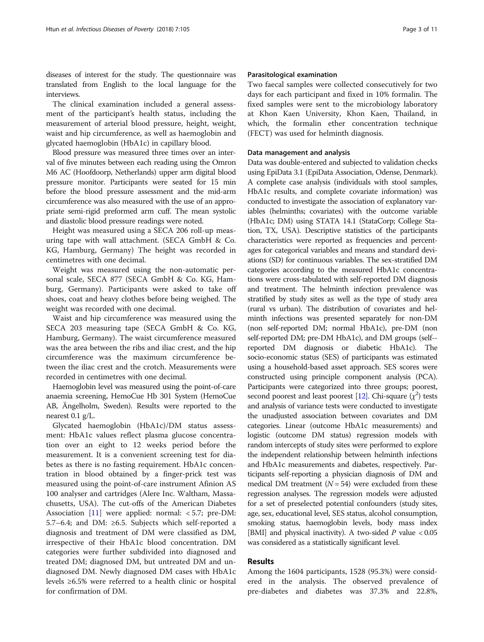diseases of interest for the study. The questionnaire was translated from English to the local language for the interviews.

The clinical examination included a general assessment of the participant's health status, including the measurement of arterial blood pressure, height, weight, waist and hip circumference, as well as haemoglobin and glycated haemoglobin (HbA1c) in capillary blood.

Blood pressure was measured three times over an interval of five minutes between each reading using the Omron M6 AC (Hoofdoorp, Netherlands) upper arm digital blood pressure monitor. Participants were seated for 15 min before the blood pressure assessment and the mid-arm circumference was also measured with the use of an appropriate semi-rigid preformed arm cuff. The mean systolic and diastolic blood pressure readings were noted.

Height was measured using a SECA 206 roll-up measuring tape with wall attachment. (SECA GmbH & Co. KG, Hamburg, Germany) The height was recorded in centimetres with one decimal.

Weight was measured using the non-automatic personal scale, SECA 877 (SECA GmbH & Co. KG, Hamburg, Germany). Participants were asked to take off shoes, coat and heavy clothes before being weighed. The weight was recorded with one decimal.

Waist and hip circumference was measured using the SECA 203 measuring tape (SECA GmbH & Co. KG, Hamburg, Germany). The waist circumference measured was the area between the ribs and iliac crest, and the hip circumference was the maximum circumference between the iliac crest and the crotch. Measurements were recorded in centimetres with one decimal.

Haemoglobin level was measured using the point-of-care anaemia screening, HemoCue Hb 301 System (HemoCue AB, Ängelholm, Sweden). Results were reported to the nearest 0.1 g/L.

Glycated haemoglobin (HbA1c)/DM status assessment: HbA1c values reflect plasma glucose concentration over an eight to 12 weeks period before the measurement. It is a convenient screening test for diabetes as there is no fasting requirement. HbA1c concentration in blood obtained by a finger-prick test was measured using the point-of-care instrument Afinion AS 100 analyser and cartridges (Alere Inc. Waltham, Massachusetts, USA). The cut-offs of the American Diabetes Association [\[11](#page-9-0)] were applied: normal: < 5.7; pre-DM: 5.7–6.4; and DM: ≥6.5. Subjects which self-reported a diagnosis and treatment of DM were classified as DM, irrespective of their HbA1c blood concentration. DM categories were further subdivided into diagnosed and treated DM; diagnosed DM, but untreated DM and undiagnosed DM. Newly diagnosed DM cases with HbA1c levels ≥6.5% were referred to a health clinic or hospital for confirmation of DM.

## Parasitological examination

Two faecal samples were collected consecutively for two days for each participant and fixed in 10% formalin. The fixed samples were sent to the microbiology laboratory at Khon Kaen University, Khon Kaen, Thailand, in which, the formalin ether concentration technique (FECT) was used for helminth diagnosis.

## Data management and analysis

Data was double-entered and subjected to validation checks using EpiData 3.1 (EpiData Association, Odense, Denmark). A complete case analysis (individuals with stool samples, HbA1c results, and complete covariate information) was conducted to investigate the association of explanatory variables (helminths; covariates) with the outcome variable (HbA1c; DM) using STATA 14.1 (StataCorp; College Station, TX, USA). Descriptive statistics of the participants characteristics were reported as frequencies and percentages for categorical variables and means and standard deviations (SD) for continuous variables. The sex-stratified DM categories according to the measured HbA1c concentrations were cross-tabulated with self-reported DM diagnosis and treatment. The helminth infection prevalence was stratified by study sites as well as the type of study area (rural vs urban). The distribution of covariates and helminth infections was presented separately for non-DM (non self-reported DM; normal HbA1c), pre-DM (non self-reported DM; pre-DM HbA1c), and DM groups (self- reported DM diagnosis or diabetic HbA1c). The socio-economic status (SES) of participants was estimated using a household-based asset approach. SES scores were constructed using principle component analysis (PCA). Participants were categorized into three groups; poorest, second poorest and least poorest [\[12\]](#page-9-0). Chi-square  $(\chi^2)$  tests and analysis of variance tests were conducted to investigate the unadjusted association between covariates and DM categories. Linear (outcome HbA1c measurements) and logistic (outcome DM status) regression models with random intercepts of study sites were performed to explore the independent relationship between helminth infections and HbA1c measurements and diabetes, respectively. Participants self-reporting a physician diagnosis of DM and medical DM treatment  $(N = 54)$  were excluded from these regression analyses. The regression models were adjusted for a set of preselected potential confounders (study sites, age, sex, educational level, SES status, alcohol consumption, smoking status, haemoglobin levels, body mass index [BMI] and physical inactivity). A two-sided  $P$  value  $<0.05$ was considered as a statistically significant level.

## Results

Among the 1604 participants, 1528 (95.3%) were considered in the analysis. The observed prevalence of pre-diabetes and diabetes was 37.3% and 22.8%,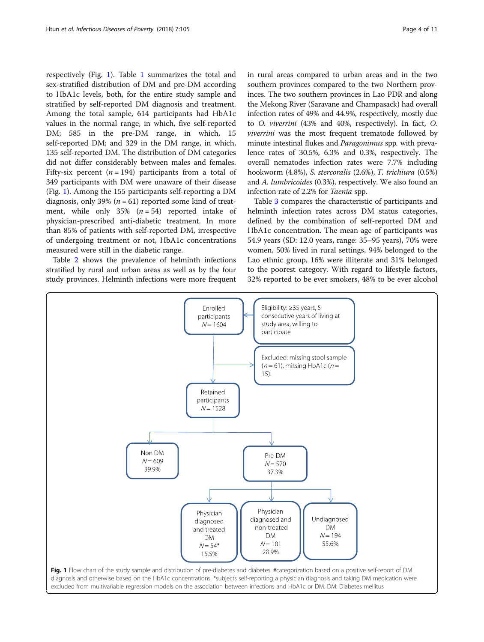respectively (Fig. 1). Table [1](#page-4-0) summarizes the total and sex-stratified distribution of DM and pre-DM according to HbA1c levels, both, for the entire study sample and stratified by self-reported DM diagnosis and treatment. Among the total sample, 614 participants had HbA1c values in the normal range, in which, five self-reported DM; 585 in the pre-DM range, in which, 15 self-reported DM; and 329 in the DM range, in which, 135 self-reported DM. The distribution of DM categories did not differ considerably between males and females. Fifty-six percent ( $n = 194$ ) participants from a total of 349 participants with DM were unaware of their disease (Fig. 1). Among the 155 participants self-reporting a DM diagnosis, only 39% ( $n = 61$ ) reported some kind of treatment, while only  $35\%$   $(n = 54)$  reported intake of physician-prescribed anti-diabetic treatment. In more than 85% of patients with self-reported DM, irrespective of undergoing treatment or not, HbA1c concentrations measured were still in the diabetic range.

Table [2](#page-4-0) shows the prevalence of helminth infections stratified by rural and urban areas as well as by the four study provinces. Helminth infections were more frequent

in rural areas compared to urban areas and in the two southern provinces compared to the two Northern provinces. The two southern provinces in Lao PDR and along the Mekong River (Saravane and Champasack) had overall infection rates of 49% and 44.9%, respectively, mostly due to O. viverrini (43% and 40%, respectively). In fact, O. viverrini was the most frequent trematode followed by minute intestinal flukes and *Paragonimus* spp. with prevalence rates of 30.5%, 6.3% and 0.3%, respectively. The overall nematodes infection rates were 7.7% including hookworm (4.8%), S. stercoralis (2.6%), T. trichiura (0.5%) and A. lumbricoides (0.3%), respectively. We also found an infection rate of 2.2% for Taenia spp.

Table [3](#page-5-0) compares the characteristic of participants and helminth infection rates across DM status categories, defined by the combination of self-reported DM and HbA1c concentration. The mean age of participants was 54.9 years (SD: 12.0 years, range: 35–95 years), 70% were women, 50% lived in rural settings, 94% belonged to the Lao ethnic group, 16% were illiterate and 31% belonged to the poorest category. With regard to lifestyle factors, 32% reported to be ever smokers, 48% to be ever alcohol

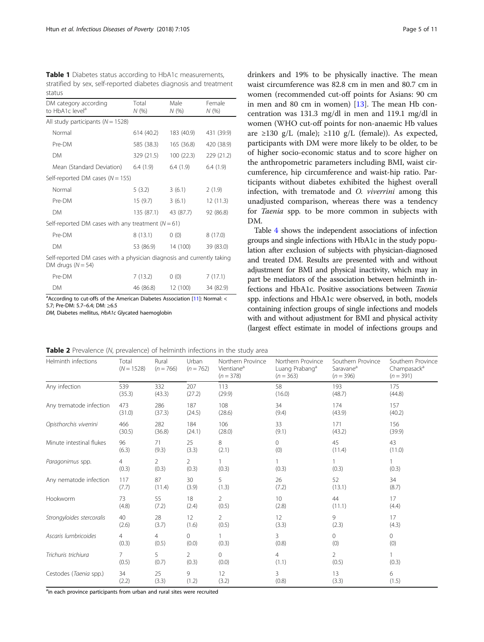<span id="page-4-0"></span>Table 1 Diabetes status according to HbA1c measurements, stratified by sex, self-reported diabetes diagnosis and treatment status

| DM category according<br>to HbA1c level <sup>a</sup>                                          | Total<br>N(% | Male<br>N(% | Female<br>N(% |  |  |  |
|-----------------------------------------------------------------------------------------------|--------------|-------------|---------------|--|--|--|
| All study participants ( $N = 1528$ )                                                         |              |             |               |  |  |  |
| Normal                                                                                        | 614 (40.2)   | 183 (40.9)  | 431 (39.9)    |  |  |  |
| Pre-DM                                                                                        | 585 (38.3)   | 165 (36.8)  | 420 (38.9)    |  |  |  |
| DM                                                                                            | 329 (21.5)   | 100(22.3)   | 229 (21.2)    |  |  |  |
| Mean (Standard Deviation)                                                                     | 6.4(1.9)     | 6.4(1.9)    | 6.4(1.9)      |  |  |  |
| Self-reported DM cases ( $N = 155$ )                                                          |              |             |               |  |  |  |
| Normal                                                                                        | 5(3.2)       | 3(6.1)      | 2(1.9)        |  |  |  |
| Pre-DM                                                                                        | 15 (9.7)     | 3(6.1)      | 12(11.3)      |  |  |  |
| <b>DM</b>                                                                                     | 135 (87.1)   | 43 (87.7)   | 92 (86.8)     |  |  |  |
| Self-reported DM cases with any treatment ( $N = 61$ )                                        |              |             |               |  |  |  |
| Pre-DM                                                                                        | 8(13.1)      | 0(0)        | 8(17.0)       |  |  |  |
| <b>DM</b>                                                                                     | 53 (86.9)    | 14 (100)    | 39 (83.0)     |  |  |  |
| Self-reported DM cases with a physician diagnosis and currently taking<br>DM drugs $(N = 54)$ |              |             |               |  |  |  |

| Pre-DM | 7(13.2)   | (0)(0)   | 7(17.1)   |
|--------|-----------|----------|-----------|
| DМ     | 46 (86.8) | 12 (100) | 34 (82.9) |

<sup>a</sup>According to cut-offs of the American Diabetes Association [[11](#page-9-0)]: Normal: < 5.7; Pre-DM: 5.7–6.4; DM: ≥6.5

DM, Diabetes mellitus, HbA1c Glycated haemoglobin

drinkers and 19% to be physically inactive. The mean waist circumference was 82.8 cm in men and 80.7 cm in women (recommended cut-off points for Asians: 90 cm in men and 80 cm in women) [[13](#page-10-0)]. The mean Hb concentration was 131.3 mg/dl in men and 119.1 mg/dl in women (WHO cut-off points for non-anaemic Hb values are ≥130 g/L (male); ≥110 g/L (female)). As expected, participants with DM were more likely to be older, to be of higher socio-economic status and to score higher on the anthropometric parameters including BMI, waist circumference, hip circumference and waist-hip ratio. Participants without diabetes exhibited the highest overall infection, with trematode and O. viverrini among this unadjusted comparison, whereas there was a tendency for Taenia spp. to be more common in subjects with DM.

Table [4](#page-6-0) shows the independent associations of infection groups and single infections with HbA1c in the study population after exclusion of subjects with physician-diagnosed and treated DM. Results are presented with and without adjustment for BMI and physical inactivity, which may in part be mediators of the association between helminth infections and HbA1c. Positive associations between Taenia spp. infections and HbA1c were observed, in both, models containing infection groups of single infections and models with and without adjustment for BMI and physical activity (largest effect estimate in model of infections groups and

Table 2 Prevalence (N, prevalence) of helminth infections in the study area

| Helminth infections       | Total<br>$(N = 1528)$ | Rural<br>$(n = 766)$ | Urban<br>$(n = 762)$    | Northern Province<br>Vientiane <sup>a</sup><br>$(n = 378)$ | Northern Province<br>Luang Prabang <sup>a</sup><br>$(n = 363)$ | Southern Province<br>Saravane <sup>a</sup><br>$(n = 396)$ | Southern Province<br>Champasack <sup>a</sup><br>$(n = 391)$ |
|---------------------------|-----------------------|----------------------|-------------------------|------------------------------------------------------------|----------------------------------------------------------------|-----------------------------------------------------------|-------------------------------------------------------------|
| Any infection             | 539                   | 332                  | 207                     | 113                                                        | 58                                                             | 193                                                       | 175                                                         |
|                           | (35.3)                | (43.3)               | (27.2)                  | (29.9)                                                     | (16.0)                                                         | (48.7)                                                    | (44.8)                                                      |
| Any trematode infection   | 473                   | 286                  | 187                     | 108                                                        | 34                                                             | 174                                                       | 157                                                         |
|                           | (31.0)                | (37.3)               | (24.5)                  | (28.6)                                                     | (9.4)                                                          | (43.9)                                                    | (40.2)                                                      |
| Opisthorchis viverrini    | 466                   | 282                  | 184                     | 106                                                        | 33                                                             | 171                                                       | 156                                                         |
|                           | (30.5)                | (36.8)               | (24.1)                  | (28.0)                                                     | (9.1)                                                          | (43.2)                                                    | (39.9)                                                      |
| Minute intestinal flukes  | 96                    | 71                   | 25                      | 8                                                          | 0                                                              | 45                                                        | 43                                                          |
|                           | (6.3)                 | (9.3)                | (3.3)                   | (2.1)                                                      | (0)                                                            | (11.4)                                                    | (11.0)                                                      |
| Paragonimus spp.          | 4<br>(0.3)            | 2<br>(0.3)           | $\overline{2}$<br>(0.3) | (0.3)                                                      | 1<br>(0.3)                                                     | (0.3)                                                     | (0.3)                                                       |
| Any nematode infection    | 117                   | 87                   | 30                      | 5                                                          | 26                                                             | 52                                                        | 34                                                          |
|                           | (7.7)                 | (11.4)               | (3.9)                   | (1.3)                                                      | (7.2)                                                          | (13.1)                                                    | (8.7)                                                       |
| Hookworm                  | 73                    | 55                   | 18                      | $\overline{2}$                                             | 10                                                             | 44                                                        | 17                                                          |
|                           | (4.8)                 | (7.2)                | (2.4)                   | (0.5)                                                      | (2.8)                                                          | (11.1)                                                    | (4.4)                                                       |
| Strongyloides stercoralis | 40                    | 28                   | 12                      | $\overline{2}$                                             | 12                                                             | 9                                                         | 17                                                          |
|                           | (2.6)                 | (3.7)                | (1.6)                   | (0.5)                                                      | (3.3)                                                          | (2.3)                                                     | (4.3)                                                       |
| Ascaris lumbricoides      | 4<br>(0.3)            | 4<br>(0.5)           | $\circ$<br>(0.0)        | (0.3)                                                      | 3<br>(0.8)                                                     | $\circ$<br>(0)                                            | 0<br>(0)                                                    |
| Trichuris trichiura       | 7<br>(0.5)            | 5<br>(0.7)           | $\overline{2}$<br>(0.3) | $\circ$<br>(0.0)                                           | 4<br>(1.1)                                                     | $\mathbf{2}^{\prime}$<br>(0.5)                            | (0.3)                                                       |
| Cestodes (Taenia spp.)    | 34                    | 25                   | 9                       | 12                                                         | 3                                                              | 13                                                        | 6                                                           |
|                           | (2.2)                 | (3.3)                | (1.2)                   | (3.2)                                                      | (0.8)                                                          | (3.3)                                                     | (1.5)                                                       |

<sup>a</sup>in each province participants from urban and rural sites were recruited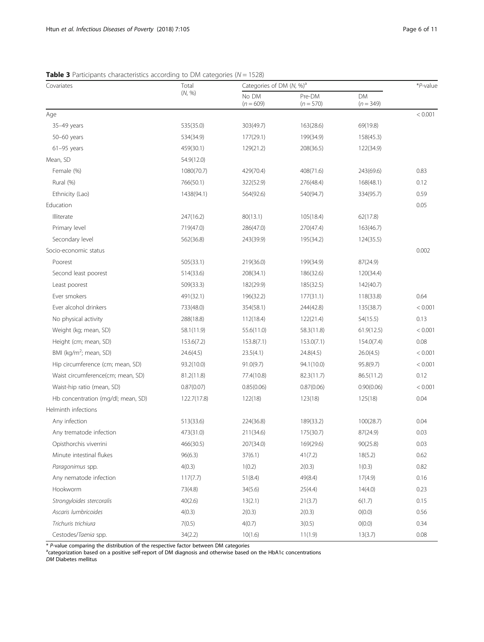<span id="page-5-0"></span>

|  | <b>Table 3</b> Participants characteristics according to DM categories ( $N = 1528$ ) |  |  |  |
|--|---------------------------------------------------------------------------------------|--|--|--|
|  |                                                                                       |  |  |  |

| Covariates                         | Total       |                      | Categories of DM (N, %) <sup>a</sup> |                          |         |  |
|------------------------------------|-------------|----------------------|--------------------------------------|--------------------------|---------|--|
|                                    | (N, %)      | No DM<br>$(n = 609)$ | Pre-DM<br>$(n = 570)$                | <b>DM</b><br>$(n = 349)$ |         |  |
| Age                                |             |                      |                                      |                          | < 0.001 |  |
| 35-49 years                        | 535(35.0)   | 303(49.7)            | 163(28.6)                            | 69(19.8)                 |         |  |
| 50-60 years                        | 534(34.9)   | 177(29.1)            | 199(34.9)                            | 158(45.3)                |         |  |
| $61-95$ years                      | 459(30.1)   | 129(21.2)            | 208(36.5)                            | 122(34.9)                |         |  |
| Mean, SD                           | 54.9(12.0)  |                      |                                      |                          |         |  |
| Female (%)                         | 1080(70.7)  | 429(70.4)            | 408(71.6)                            | 243(69.6)                | 0.83    |  |
| Rural (%)                          | 766(50.1)   | 322(52.9)            | 276(48.4)                            | 168(48.1)                | 0.12    |  |
| Ethnicity (Lao)                    | 1438(94.1)  | 564(92.6)            | 540(94.7)                            | 334(95.7)                | 0.59    |  |
| Education                          |             |                      |                                      |                          | 0.05    |  |
| Illiterate                         | 247(16.2)   | 80(13.1)             | 105(18.4)                            | 62(17.8)                 |         |  |
| Primary level                      | 719(47.0)   | 286(47.0)            | 270(47.4)                            | 163(46.7)                |         |  |
| Secondary level                    | 562(36.8)   | 243(39.9)            | 195(34.2)                            | 124(35.5)                |         |  |
| Socio-economic status              |             |                      |                                      |                          | 0.002   |  |
| Poorest                            | 505(33.1)   | 219(36.0)            | 199(34.9)                            | 87(24.9)                 |         |  |
| Second least poorest               | 514(33.6)   | 208(34.1)            | 186(32.6)                            | 120(34.4)                |         |  |
| Least poorest                      | 509(33.3)   | 182(29.9)            | 185(32.5)                            | 142(40.7)                |         |  |
| Ever smokers                       | 491(32.1)   | 196(32.2)            | 177(31.1)                            | 118(33.8)                | 0.64    |  |
| Ever alcohol drinkers              | 733(48.0)   | 354(58.1)            | 244(42.8)                            | 135(38.7)                | < 0.001 |  |
| No physical activity               | 288(18.8)   | 112(18.4)            | 122(21.4)                            | 54(15.5)                 | 0.13    |  |
| Weight (kg; mean, SD)              | 58.1(11.9)  | 55.6(11.0)           | 58.3(11.8)                           | 61.9(12.5)               | < 0.001 |  |
| Height (cm; mean, SD)              | 153.6(7.2)  | 153.8(7.1)           | 153.0(7.1)                           | 154.0(7.4)               | 0.08    |  |
| BMI (kg/m <sup>2</sup> ; mean, SD) | 24.6(4.5)   | 23.5(4.1)            | 24.8(4.5)                            | 26.0(4.5)                | < 0.001 |  |
| Hip circumference (cm; mean, SD)   | 93.2(10.0)  | 91.0(9.7)            | 94.1(10.0)                           | 95.8(9.7)                | < 0.001 |  |
| Waist circumference(cm; mean, SD)  | 81.2(11.8)  | 77.4(10.8)           | 82.3(11.7)                           | 86.5(11.2)               | 0.12    |  |
| Waist-hip ratio (mean, SD)         | 0.87(0.07)  | 0.85(0.06)           | 0.87(0.06)                           | 0.90(0.06)               | < 0.001 |  |
| Hb concentration (mg/dl; mean, SD) | 122.7(17.8) | 122(18)              | 123(18)                              | 125(18)                  | 0.04    |  |
| Helminth infections                |             |                      |                                      |                          |         |  |
| Any infection                      | 513(33.6)   | 224(36.8)            | 189(33.2)                            | 100(28.7)                | 0.04    |  |
| Any trematode infection            | 473(31.0)   | 211(34.6)            | 175(30.7)                            | 87(24.9)                 | 0.03    |  |
| Opisthorchis viverrini             | 466(30.5)   | 207(34.0)            | 169(29.6)                            | 90(25.8)                 | 0.03    |  |
| Minute intestinal flukes           | 96(6.3)     | 37(6.1)              | 41(7.2)                              | 18(5.2)                  | 0.62    |  |
| Paragonimus spp.                   | 4(0.3)      | 1(0.2)               | 2(0.3)                               | 1(0.3)                   | 0.82    |  |
| Any nematode infection             | 117(7.7)    | 51(8.4)              | 49(8.4)                              | 17(4.9)                  | 0.16    |  |
| Hookworm                           | 73(4.8)     | 34(5.6)              | 25(4.4)                              | 14(4.0)                  | 0.23    |  |
| Strongyloides stercoralis          | 40(2.6)     | 13(2.1)              | 21(3.7)                              | 6(1.7)                   | 0.15    |  |
| Ascaris lumbricoides               | 4(0.3)      | 2(0.3)               | 2(0.3)                               | O(0.0)                   | 0.56    |  |
| Trichuris trichiura                | 7(0.5)      | 4(0.7)               | 3(0.5)                               | O(0.0)                   | 0.34    |  |
| Cestodes/Taenia spp.               | 34(2.2)     | 10(1.6)              | 11(1.9)                              | 13(3.7)                  | 0.08    |  |

\* P-value comparing the distribution of the respective factor between DM categories<br><sup>a</sup>categorization based on a positive self-report of DM diagnosis and otherwise based on the HbA1c concentrations

DM Diabetes mellitus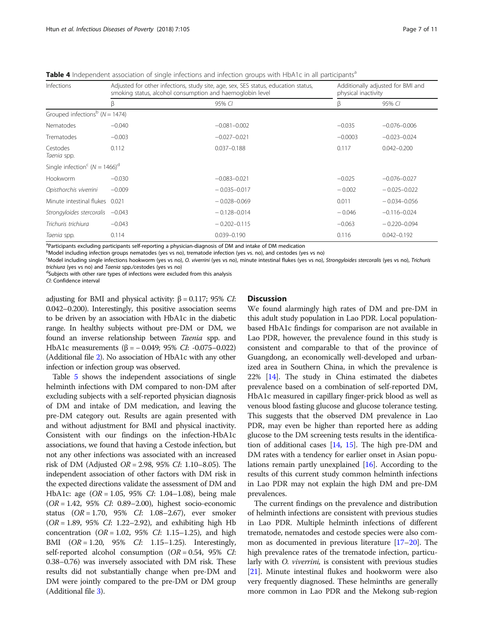<span id="page-6-0"></span>Table 4 Independent association of single infections and infection groups with HbA1c in all participants<sup>a</sup>

| Infections                                                | Adjusted for other infections, study site, age, sex, SES status, education status,<br>smoking status, alcohol consumption and haemoglobin level | Additionally adjusted for BMI and<br>physical inactivity |           |                  |
|-----------------------------------------------------------|-------------------------------------------------------------------------------------------------------------------------------------------------|----------------------------------------------------------|-----------|------------------|
|                                                           |                                                                                                                                                 | 95% CI                                                   |           | 95% CI           |
| Grouped infections <sup>b</sup> ( $N = 1474$ )            |                                                                                                                                                 |                                                          |           |                  |
| Nematodes                                                 | $-0.040$                                                                                                                                        | $-0.081 - 0.002$                                         | $-0.035$  | $-0.076 - 0.006$ |
| Trematodes                                                | $-0.003$                                                                                                                                        | $-0.027 - 0.021$                                         | $-0.0003$ | $-0.023 - 0.024$ |
| Cestodes<br>Taenia spp.                                   | $0.037 - 0.188$<br>0.112                                                                                                                        |                                                          | 0.117     | $0.042 - 0.200$  |
| Single infection <sup>c</sup> ( $N = 1466$ ) <sup>d</sup> |                                                                                                                                                 |                                                          |           |                  |
| Hookworm                                                  | $-0.030$                                                                                                                                        | $-0.083 - 0.021$                                         | $-0.025$  | $-0.076 - 0.027$ |
| Opisthorchis viverrini                                    | $-0.009$                                                                                                                                        | $-0.035 - 0.017$                                         | $-0.002$  | $-0.025 - 0.022$ |
| Minute intestinal flukes 0.021                            |                                                                                                                                                 | $-0.028 - 0.069$                                         | 0.011     | $-0.034 - 0.056$ |
| Strongyloides stercoralis -0.043                          |                                                                                                                                                 | $-0.128 - 0.014$                                         | $-0.046$  | $-0.116 - 0.024$ |
| Trichuris trichiura                                       | $-0.043$                                                                                                                                        | $-0.202 - 0.115$                                         | $-0.063$  | $-0.220 - 0.094$ |
| Taenia spp.                                               | 0.114                                                                                                                                           | $0.039 - 0.190$                                          | 0.116     | $0.042 - 0.192$  |

<sup>a</sup>Participants excluding participants self-reporting a physician-diagnosis of DM and intake of DM medication

bModel including infection groups nematodes (yes vs no), trematode infection (yes vs. no), and cestodes (yes vs no)

c Model including single infections hookworm (yes vs no), O. viverrini (yes vs no), minute intestinal flukes (yes vs no), Strongyloides stercoralis (yes vs no), Trichuris trichiura (yes vs no) and Taenia spp./cestodes (yes vs no)

<sup>d</sup>Subjects with other rare types of infections were excluded from this analysis

CI: Confidence interval

adjusting for BMI and physical activity:  $β = 0.117$ ; 95% *CI*: 0.042–0.200). Interestingly, this positive association seems to be driven by an association with HbA1c in the diabetic range. In healthy subjects without pre-DM or DM, we found an inverse relationship between Taenia spp. and HbA1c measurements (β = - 0.049; 95% CI: -0.075-0.022) (Additional file [2](#page-9-0)). No association of HbA1c with any other infection or infection group was observed.

Table [5](#page-7-0) shows the independent associations of single helminth infections with DM compared to non-DM after excluding subjects with a self-reported physician diagnosis of DM and intake of DM medication, and leaving the pre-DM category out. Results are again presented with and without adjustment for BMI and physical inactivity. Consistent with our findings on the infection-HbA1c associations, we found that having a Cestode infection, but not any other infections was associated with an increased risk of DM (Adjusted  $OR = 2.98$ , 95% *CI*: 1.10–8.05). The independent association of other factors with DM risk in the expected directions validate the assessment of DM and HbA1c: age (OR = 1.05, 95% CI: 1.04–1.08), being male (OR = 1.42, 95% CI: 0.89–2.00), highest socio-economic status (OR = 1.70, 95% CI: 1.08–2.67), ever smoker  $(OR = 1.89, 95\% \, CI: 1.22 - 2.92)$ , and exhibiting high Hb concentration  $(OR = 1.02, 95\% \, CI: 1.15-1.25)$ , and high BMI (OR = 1.20, 95% CI: 1.15–1.25). Interestingly, self-reported alcohol consumption (OR = 0.54, 95% CI: 0.38–0.76) was inversely associated with DM risk. These results did not substantially change when pre-DM and DM were jointly compared to the pre-DM or DM group (Additional file [3\)](#page-9-0).

## **Discussion**

We found alarmingly high rates of DM and pre-DM in this adult study population in Lao PDR. Local populationbased HbA1c findings for comparison are not available in Lao PDR, however, the prevalence found in this study is consistent and comparable to that of the province of Guangdong, an economically well-developed and urbanized area in Southern China, in which the prevalence is 22% [\[14\]](#page-10-0). The study in China estimated the diabetes prevalence based on a combination of self-reported DM, HbA1c measured in capillary finger-prick blood as well as venous blood fasting glucose and glucose tolerance testing. This suggests that the observed DM prevalence in Lao PDR, may even be higher than reported here as adding glucose to the DM screening tests results in the identification of additional cases [\[14,](#page-10-0) [15\]](#page-10-0). The high pre-DM and DM rates with a tendency for earlier onset in Asian populations remain partly unexplained [[16](#page-10-0)]. According to the results of this current study common helminth infections in Lao PDR may not explain the high DM and pre-DM prevalences.

The current findings on the prevalence and distribution of helminth infections are consistent with previous studies in Lao PDR. Multiple helminth infections of different trematode, nematodes and cestode species were also common as documented in previous literature [\[17](#page-10-0)–[20](#page-10-0)]. The high prevalence rates of the trematode infection, particularly with *O. viverrini*, is consistent with previous studies [[21](#page-10-0)]. Minute intestinal flukes and hookworm were also very frequently diagnosed. These helminths are generally more common in Lao PDR and the Mekong sub-region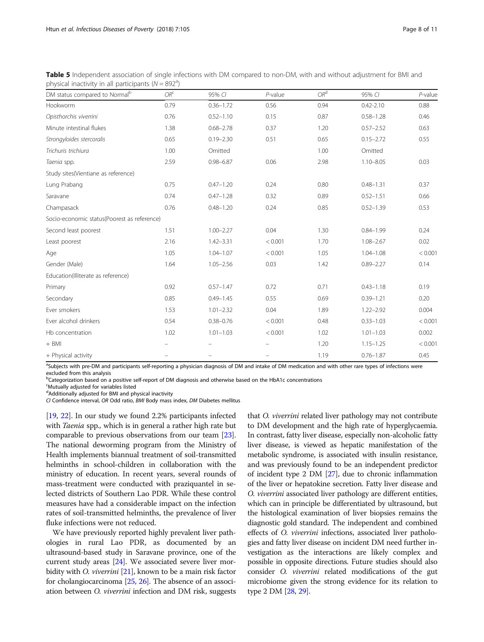| DM status compared to Normal <sup>b</sup>   | OR <sup>c</sup> | 95% CI            | $P$ -value               | OR <sup>d</sup> | 95% CI        | P-value |
|---------------------------------------------|-----------------|-------------------|--------------------------|-----------------|---------------|---------|
| Hookworm                                    | 0.79            | $0.36 - 1.72$     | 0.56                     | 0.94            | $0.42 - 2.10$ | 0.88    |
| Opisthorchis viverrini                      | 0.76            | $0.52 - 1.10$     | 0.15                     | 0.87            | $0.58 - 1.28$ | 0.46    |
| Minute intestinal flukes                    | 1.38            | $0.68 - 2.78$     | 0.37                     | 1.20            | $0.57 - 2.52$ | 0.63    |
| Strongyloides stercoralis                   | 0.65            | $0.19 - 2.30$     | 0.51                     | 0.65            | $0.15 - 2.72$ | 0.55    |
| Trichuris trichiura                         | 1.00            | Omitted           |                          | 1.00            | Omitted       |         |
| Taenia spp.                                 | 2.59            | $0.98 - 6.87$     | 0.06                     | 2.98            | $1.10 - 8.05$ | 0.03    |
| Study sites(Vientiane as reference)         |                 |                   |                          |                 |               |         |
| Lung Prabang                                | 0.75            | $0.47 - 1.20$     | 0.24                     | 0.80            | $0.48 - 1.31$ | 0.37    |
| Saravane                                    | 0.74            | $0.47 - 1.28$     | 0.32                     | 0.89            | $0.52 - 1.51$ | 0.66    |
| Champasack                                  | 0.76            | $0.48 - 1.20$     | 0.24                     | 0.85            | $0.52 - 1.39$ | 0.53    |
| Socio-economic status(Poorest as reference) |                 |                   |                          |                 |               |         |
| Second least poorest                        | 1.51            | $1.00 - 2.27$     | 0.04                     | 1.30            | $0.84 - 1.99$ | 0.24    |
| Least poorest                               | 2.16            | $1.42 - 3.31$     | < 0.001                  | 1.70            | $1.08 - 2.67$ | 0.02    |
| Age                                         | 1.05            | $1.04 - 1.07$     | < 0.001                  | 1.05            | $1.04 - 1.08$ | < 0.001 |
| Gender (Male)                               | 1.64            | $1.05 - 2.56$     | 0.03                     | 1.42            | $0.89 - 2.27$ | 0.14    |
| Education(Illiterate as reference)          |                 |                   |                          |                 |               |         |
| Primary                                     | 0.92            | $0.57 - 1.47$     | 0.72                     | 0.71            | $0.43 - 1.18$ | 0.19    |
| Secondary                                   | 0.85            | $0.49 - 1.45$     | 0.55                     | 0.69            | $0.39 - 1.21$ | 0.20    |
| Ever smokers                                | 1.53            | $1.01 - 2.32$     | 0.04                     | 1.89            | $1.22 - 2.92$ | 0.004   |
| Ever alcohol drinkers                       | 0.54            | $0.38 - 0.76$     | < 0.001                  | 0.48            | $0.33 - 1.03$ | < 0.001 |
| Hb concentration                            | 1.02            | $1.01 - 1.03$     | < 0.001                  | 1.02            | $1.01 - 1.03$ | 0.002   |
| $+$ BMI                                     |                 |                   |                          | 1.20            | $1.15 - 1.25$ | < 0.001 |
| + Physical activity                         |                 | $\qquad \qquad -$ | $\overline{\phantom{0}}$ | 1.19            | $0.76 - 1.87$ | 0.45    |

<span id="page-7-0"></span>Table 5 Independent association of single infections with DM compared to non-DM, with and without adjustment for BMI and physical inactivity in all participants ( $N = 892<sup>a</sup>$ )

<sup>a</sup>Subjects with pre-DM and participants self-reporting a physician diagnosis of DM and intake of DM medication and with other rare types of infections were excluded from this analysis

<sup>b</sup>Categorization based on a positive self-report of DM diagnosis and otherwise based on the HbA1c concentrations

c Mutually adjusted for variables listed

<sup>d</sup>Additionally adjusted for BMI and physical inactivity

CI Confidence interval, OR Odd ratio, BMI Body mass index, DM Diabetes mellitus

[[19](#page-10-0), [22](#page-10-0)]. In our study we found 2.2% participants infected with *Taenia* spp., which is in general a rather high rate but comparable to previous observations from our team [[23](#page-10-0)]. The national deworming program from the Ministry of Health implements biannual treatment of soil-transmitted helminths in school-children in collaboration with the ministry of education. In recent years, several rounds of mass-treatment were conducted with praziquantel in selected districts of Southern Lao PDR. While these control measures have had a considerable impact on the infection rates of soil-transmitted helminths, the prevalence of liver fluke infections were not reduced.

We have previously reported highly prevalent liver pathologies in rural Lao PDR, as documented by an ultrasound-based study in Saravane province, one of the current study areas [[24](#page-10-0)]. We associated severe liver morbidity with *O. viverrini* [[21](#page-10-0)], known to be a main risk factor for cholangiocarcinoma [\[25,](#page-10-0) [26](#page-10-0)]. The absence of an association between O. viverrini infection and DM risk, suggests

that O. viverrini related liver pathology may not contribute to DM development and the high rate of hyperglycaemia. In contrast, fatty liver disease, especially non-alcoholic fatty liver disease, is viewed as hepatic manifestation of the metabolic syndrome, is associated with insulin resistance, and was previously found to be an independent predictor of incident type 2 DM [\[27\]](#page-10-0), due to chronic inflammation of the liver or hepatokine secretion. Fatty liver disease and O. viverrini associated liver pathology are different entities, which can in principle be differentiated by ultrasound, but the histological examination of liver biopsies remains the diagnostic gold standard. The independent and combined effects of O. viverrini infections, associated liver pathologies and fatty liver disease on incident DM need further investigation as the interactions are likely complex and possible in opposite directions. Future studies should also consider O. viverrini related modifications of the gut microbiome given the strong evidence for its relation to type 2 DM [\[28,](#page-10-0) [29\]](#page-10-0).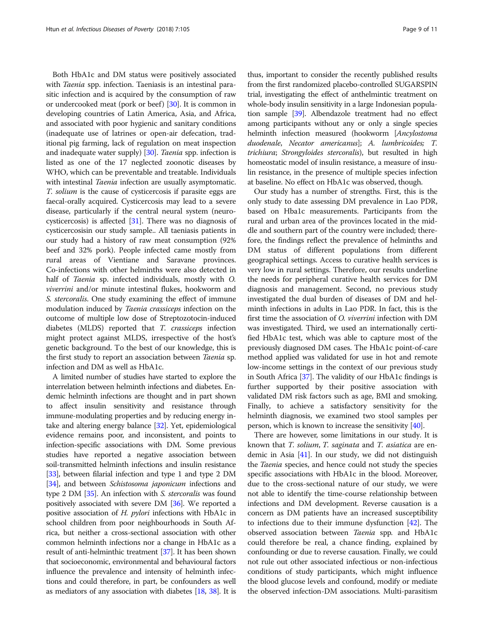Both HbA1c and DM status were positively associated with *Taenia* spp. infection. Taeniasis is an intestinal parasitic infection and is acquired by the consumption of raw or undercooked meat (pork or beef) [\[30\]](#page-10-0). It is common in developing countries of Latin America, Asia, and Africa, and associated with poor hygienic and sanitary conditions (inadequate use of latrines or open-air defecation, traditional pig farming, lack of regulation on meat inspection and inadequate water supply) [\[30\]](#page-10-0). Taenia spp. infection is listed as one of the 17 neglected zoonotic diseases by WHO, which can be preventable and treatable. Individuals with intestinal *Taenia* infection are usually asymptomatic. T. solium is the cause of cysticercosis if parasite eggs are faecal-orally acquired. Cysticercosis may lead to a severe disease, particularly if the central neural system (neurocysticercosis) is affected [[31](#page-10-0)]. There was no diagnosis of cysticercosisin our study sample.. All taeniasis patients in our study had a history of raw meat consumption (92% beef and 32% pork). People infected came mostly from rural areas of Vientiane and Saravane provinces. Co-infections with other helminths were also detected in half of Taenia sp. infected individuals, mostly with O. viverrini and/or minute intestinal flukes, hookworm and S. stercoralis. One study examining the effect of immune modulation induced by Taenia crassiceps infection on the outcome of multiple low dose of Streptozotocin-induced diabetes (MLDS) reported that T. crassiceps infection might protect against MLDS, irrespective of the host's genetic background. To the best of our knowledge, this is the first study to report an association between Taenia sp. infection and DM as well as HbA1c.

A limited number of studies have started to explore the interrelation between helminth infections and diabetes. Endemic helminth infections are thought and in part shown to affect insulin sensitivity and resistance through immune-modulating properties and by reducing energy intake and altering energy balance [\[32\]](#page-10-0). Yet, epidemiological evidence remains poor, and inconsistent, and points to infection-specific associations with DM. Some previous studies have reported a negative association between soil-transmitted helminth infections and insulin resistance [[33](#page-10-0)], between filarial infection and type 1 and type 2 DM [[34](#page-10-0)], and between Schistosoma japonicum infections and type 2 DM [\[35\]](#page-10-0). An infection with S. *stercoralis* was found positively associated with severe DM [[36](#page-10-0)]. We reported a positive association of H. pylori infections with HbA1c in school children from poor neighbourhoods in South Africa, but neither a cross-sectional association with other common helminth infections nor a change in HbA1c as a result of anti-helminthic treatment [\[37\]](#page-10-0). It has been shown that socioeconomic, environmental and behavioural factors influence the prevalence and intensity of helminth infections and could therefore, in part, be confounders as well as mediators of any association with diabetes [[18](#page-10-0), [38\]](#page-10-0). It is

thus, important to consider the recently published results from the first randomized placebo-controlled SUGARSPIN trial, investigating the effect of anthelmintic treatment on whole-body insulin sensitivity in a large Indonesian population sample [\[39\]](#page-10-0). Albendazole treatment had no effect among participants without any or only a single species helminth infection measured (hookworm [Ancylostoma duodenale, Necator americanus]; A. lumbricoides; T. trichiura; Strongyloides stercoralis), but resulted in high homeostatic model of insulin resistance, a measure of insulin resistance, in the presence of multiple species infection at baseline. No effect on HbA1c was observed, though.

Our study has a number of strengths. First, this is the only study to date assessing DM prevalence in Lao PDR, based on Hba1c measurements. Participants from the rural and urban area of the provinces located in the middle and southern part of the country were included; therefore, the findings reflect the prevalence of helminths and DM status of different populations from different geographical settings. Access to curative health services is very low in rural settings. Therefore, our results underline the needs for peripheral curative health services for DM diagnosis and management. Second, no previous study investigated the dual burden of diseases of DM and helminth infections in adults in Lao PDR. In fact, this is the first time the association of O. viverrini infection with DM was investigated. Third, we used an internationally certified HbA1c test, which was able to capture most of the previously diagnosed DM cases. The HbA1c point-of-care method applied was validated for use in hot and remote low-income settings in the context of our previous study in South Africa [[37](#page-10-0)]. The validity of our HbA1c findings is further supported by their positive association with validated DM risk factors such as age, BMI and smoking. Finally, to achieve a satisfactory sensitivity for the helminth diagnosis, we examined two stool samples per person, which is known to increase the sensitivity [\[40\]](#page-10-0).

There are however, some limitations in our study. It is known that T. solium, T. saginata and T. asiatica are endemic in Asia [\[41\]](#page-10-0). In our study, we did not distinguish the Taenia species, and hence could not study the species specific associations with HbA1c in the blood. Moreover, due to the cross-sectional nature of our study, we were not able to identify the time-course relationship between infections and DM development. Reverse causation is a concern as DM patients have an increased susceptibility to infections due to their immune dysfunction [[42\]](#page-10-0). The observed association between Taenia spp. and HbA1c could therefore be real, a chance finding, explained by confounding or due to reverse causation. Finally, we could not rule out other associated infectious or non-infectious conditions of study participants, which might influence the blood glucose levels and confound, modify or mediate the observed infection-DM associations. Multi-parasitism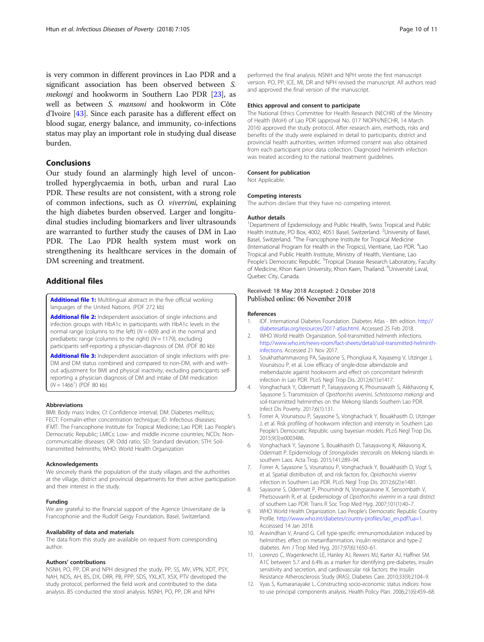<span id="page-9-0"></span>is very common in different provinces in Lao PDR and a significant association has been observed between S. mekongi and hookworm in Southern Lao PDR [[23](#page-10-0)], as well as between S. mansoni and hookworm in Côte d'Ivoire [\[43\]](#page-10-0). Since each parasite has a different effect on blood sugar, energy balance, and immunity, co-infections status may play an important role in studying dual disease burden.

## Conclusions

Our study found an alarmingly high level of uncontrolled hyperglycaemia in both, urban and rural Lao PDR. These results are not consistent, with a strong role of common infections, such as O. viverrini, explaining the high diabetes burden observed. Larger and longitudinal studies including biomarkers and liver ultrasounds are warranted to further study the causes of DM in Lao PDR. The Lao PDR health system must work on strengthening its healthcare services in the domain of DM screening and treatment.

## Additional files

[Additional file 1:](https://doi.org/10.1186/s40249-018-0488-2) Multilingual abstract in the five official working languages of the United Nations. (PDF 272 kb)

[Additional file 2:](https://doi.org/10.1186/s40249-018-0488-2) Independent association of single infections and infection groups with HbA1c in participants with HbA1c levels in the normal range (columns to the left) ( $N = 609$ ) and in the normal and prediabetic range (columns to the right) ( $N = 1179$ ), excluding participants self-reporting a physician-diagnosis of DM. (PDF 80 kb)

[Additional file 3:](https://doi.org/10.1186/s40249-018-0488-2) Independent association of single infections with pre-DM and DM status combined and compared to non-DM, with and without adjustment for BMI and physical inactivity, excluding participants selfreporting a physician diagnosis of DM and intake of DM medication  $(N = 1466^1)$  (PDF 80 kb)

#### Abbreviations

BMI: Body mass index; CI: Confidence interval; DM: Diabetes mellitus; FECT: Formalin-ether concentration technique; ID: Infectious diseases; IFMT: The Francophone Institute for Tropical Medicine; Lao PDR: Lao People's Democratic Republic; LMICs: Low- and middle income countries; NCDs: Noncommunicable diseases; OR: Odd ratio; SD: Standard deviation; STH: Soiltransmitted helminths; WHO: World Health Organization

#### Acknowledgements

We sincerely thank the population of the study villages and the authorities at the village, district and provincial departments for their active participation and their interest in the study.

#### Funding

We are grateful to the financial support of the Agence Universitaire de la Francophonie and the Rudolf Geigy Foundation, Basel, Switzerland.

#### Availability of data and materials

The data from this study are available on request from corresponding author.

#### Authors' contributions

NSNH, PO, PP, DR and NPH designed the study. PP, SS, MV, VPN, XDT, PSY, NAH, NDS, AH, BS, DX, DRR, PB, PPP, SDS, YXL,KT, XSX, PTV developed the study protocol, performed the field work and contributed to the data analysis. BS conducted the stool analysis. NSNH, PO, PP, DR and NPH

performed the final analysis. NSNH and NPH wrote the first manuscript version. PO, PP, ICE, MI, DR and NPH revised the manuscript. All authors read and approved the final version of the manuscript.

## Ethics approval and consent to participate

The National Ethics Committee for Health Research (NECHR) of the Ministry of Health (MoH) of Lao PDR (approval No. 017 NIOPH/NECHR, 14 March 2016) approved the study protocol. After research aim, methods, risks and benefits of the study were explained in detail to participants, district and provincial health authorities, written informed consent was also obtained from each participant prior data collection. Diagnosed helminth infection was treated according to the national treatment guidelines.

#### Consent for publication

Not Applicable.

#### Competing interests

The authors declare that they have no competing interest.

#### Author details

<sup>1</sup>Department of Epidemiology and Public Health, Swiss Tropical and Public Health Institute, PO Box, 4002, 4051 Basel, Switzerland. <sup>2</sup>University of Basel Basel, Switzerland. <sup>3</sup>The Francophone Institute for Tropical Medicine (International Program for Health in the Tropics), Vientiane, Lao PDR. <sup>4</sup>Lao Tropical and Public Health Institute, Ministry of Health, Vientiane, Lao People's Democratic Republic. <sup>5</sup>Tropical Disease Research Laboratory, Faculty of Medicine, Khon Kaen University, Khon Kaen, Thailand. <sup>6</sup>Université Laval, Quebec City, Canada.

## Received: 18 May 2018 Accepted: 2 October 2018 Published online: 06 November 2018

#### References

- 1. IDF. International Diabetes Foundation. Diabetes Atlas 8th edition. [http://](http://diabetesatlas.org/resources/2017-atlas.html) [diabetesatlas.org/resources/2017-atlas.html.](http://diabetesatlas.org/resources/2017-atlas.html) Accessed 25 Feb 2018.
- 2. WHO World Health Organization. Soil-transmitted helminth infections. [http://www.who.int/news-room/fact-sheets/detail/soil-transmitted-helminth](http://www.who.int/news-room/fact-sheets/detail/soil-transmitted-helminth-infections)[infections](http://www.who.int/news-room/fact-sheets/detail/soil-transmitted-helminth-infections). Accessed 21 Nov 2017.
- 3. Soukhathammavong PA, Sayasone S, Phongluxa K, Xayaseng V, Utzinger J, Vounatsou P, et al. Low efficacy of single-dose albendazole and mebendazole against hookworm and effect on concomitant helminth infection in Lao PDR. PLoS Negl Trop Dis. 2012;6(1):e1417.
- 4. Vonghachack Y, Odermatt P, Taisayyavong K, Phounsavath S, Akkhavong K, Sayasone S. Transmission of Opisthorchis viverrini, Schistosoma mekongi and soil-transmitted helminthes on the Mekong Islands Southern Lao PDR. Infect Dis Poverty. 2017;6(1):131.
- 5. Forrer A, Vounatsou P, Sayasone S, Vonghachack Y, Bouakhasith D, Utzinger J, et al. Risk profiling of hookworm infection and intensity in Southern Lao People's Democratic Republic using bayesian models. PLoS Negl Trop Dis. 2015;9(3):e0003486.
- 6. Vonghachack Y, Sayasone S, Bouakhasith D, Taisayavong K, Akkavong K, Odermatt P. Epidemiology of Strongyloides stercoralis on Mekong islands in southern Laos. Acta Trop. 2015;141:289–94.
- 7. Forrer A, Sayasone S, Vounatsou P, Vonghachack Y, Bouakhasith D, Vogt S, et al. Spatial distribution of, and risk factors for, Opisthorchis viverrini infection in Southern Lao PDR. PLoS Negl Trop Dis. 2012;6(2):e1481.
- 8. Sayasone S, Odermatt P, Phoumindr N, Vongsaravane X, Sensombath V, Phetsouvanh R, et al. Epidemiology of Opisthorchis viverrini in a rural district of southern Lao PDR. Trans R Soc Trop Med Hyg. 2007;101(1):40–7.
- 9. WHO World Health Organization. Lao People's Democratic Republic Country Profile. [http://www.who.int/diabetes/country-profiles/lao\\_en.pdf?ua=1](http://www.who.int/diabetes/country-profiles/lao_en.pdf?ua=1). Accesssed 14 Jan 2018.
- 10. Aravindhan V, Anand G. Cell type-specific immunomodulation induced by helminthes: effect on metainflammation, insulin resistance and type-2 diabetes. Am J Trop Med Hyg. 2017;97(6):1650–61.
- 11. Lorenzo C, Wagenknecht LE, Hanley AJ, Rewers MJ, Karter AJ, Haffner SM. A1C between 5.7 and 6.4% as a marker for identifying pre-diabetes, insulin sensitivity and secretion, and cardiovascular risk factors: the Insulin Resistance Atherosclerosis Study (IRAS). Diabetes Care. 2010;33(9):2104–9.
- 12. Vyas S, Kumaranayake L. Constructing socio-economic status indices: how to use principal components analysis. Health Policy Plan. 2006;21(6):459–68.